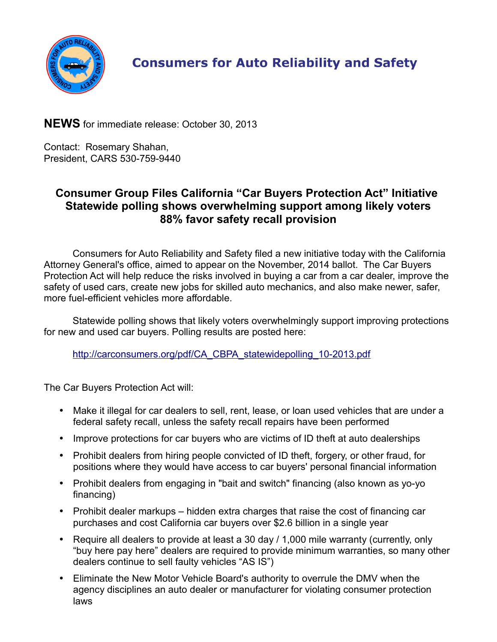

## **Consumers for Auto Reliability and Safety**

**NEWS** for immediate release: October 30, 2013

Contact: Rosemary Shahan, President, CARS 530-759-9440

## **Consumer Group Files California "Car Buyers Protection Act" Initiative Statewide polling shows overwhelming support among likely voters 88% favor safety recall provision**

Consumers for Auto Reliability and Safety filed a new initiative today with the California Attorney General's office, aimed to appear on the November, 2014 ballot. The Car Buyers Protection Act will help reduce the risks involved in buying a car from a car dealer, improve the safety of used cars, create new jobs for skilled auto mechanics, and also make newer, safer, more fuel-efficient vehicles more affordable.

Statewide polling shows that likely voters overwhelmingly support improving protections for new and used car buyers. Polling results are posted here:

[http://carconsumers.org/pdf/CA\\_CBPA\\_statewidepolling\\_10-2013.pdf](http://carconsumers.org/pdf/CA_CBPA_statewidepolling_10-2013.pdf)

The Car Buyers Protection Act will:

- Make it illegal for car dealers to sell, rent, lease, or loan used vehicles that are under a federal safety recall, unless the safety recall repairs have been performed
- Improve protections for car buyers who are victims of ID theft at auto dealerships
- Prohibit dealers from hiring people convicted of ID theft, forgery, or other fraud, for positions where they would have access to car buyers' personal financial information
- Prohibit dealers from engaging in "bait and switch" financing (also known as yo-yo financing)
- Prohibit dealer markups hidden extra charges that raise the cost of financing car purchases and cost California car buyers over \$2.6 billion in a single year
- Require all dealers to provide at least a 30 day / 1,000 mile warranty (currently, only "buy here pay here" dealers are required to provide minimum warranties, so many other dealers continue to sell faulty vehicles "AS IS")
- Eliminate the New Motor Vehicle Board's authority to overrule the DMV when the agency disciplines an auto dealer or manufacturer for violating consumer protection laws